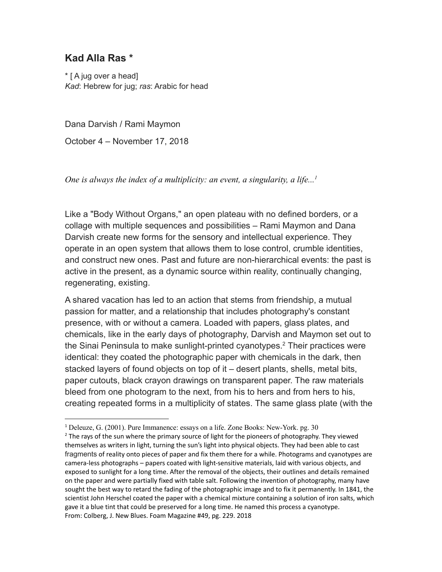## **Kad Alla Ras \***

\* [ A jug over a head] *Kad*: Hebrew for jug; *ras*: Arabic for head

Dana Darvish / Rami Maymon

October 4 – November 17, 2018

*One is always the index of a multiplicity: an event, a singularity, a life...<sup>1</sup>*

Like a "Body Without Organs," an open plateau with no defined borders, or a collage with multiple sequences and possibilities – Rami Maymon and Dana Darvish create new forms for the sensory and intellectual experience. They operate in an open system that allows them to lose control, crumble identities, and construct new ones. Past and future are non-hierarchical events: the past is active in the present, as a dynamic source within reality, continually changing, regenerating, existing.

A shared vacation has led to an action that stems from friendship, a mutual passion for matter, and a relationship that includes photography's constant presence, with or without a camera. Loaded with papers, glass plates, and chemicals, like in the early days of photography, Darvish and Maymon set out to the Sinai Peninsula to make sunlight-printed cyanotypes.<sup>2</sup> Their practices were identical: they coated the photographic paper with chemicals in the dark, then stacked layers of found objects on top of it – desert plants, shells, metal bits, paper cutouts, black crayon drawings on transparent paper. The raw materials bleed from one photogram to the next, from his to hers and from hers to his, creating repeated forms in a multiplicity of states. The same glass plate (with the

<sup>1</sup> Deleuze, G. (2001). Pure Immanence: essays on a life. Zone Books: New-York. pg. 30

 $<sup>2</sup>$  The rays of the sun where the primary source of light for the pioneers of photography. They viewed</sup> themselves as writers in light, turning the sun's light into physical objects. They had been able to cast fragments of reality onto pieces of paper and fix them there for a while. Photograms and cyanotypes are camera-less photographs – papers coated with light-sensitive materials, laid with various objects, and exposed to sunlight for a long time. After the removal of the objects, their outlines and details remained on the paper and were partially fixed with table salt. Following the invention of photography, many have sought the best way to retard the fading of the photographic image and to fix it permanently. In 1841, the scientist John Herschel coated the paper with a chemical mixture containing a solution of iron salts, which gave it a blue tint that could be preserved for a long time. He named this process a cyanotype. From: Colberg, J. New Blues. Foam Magazine #49, pg. 229. 2018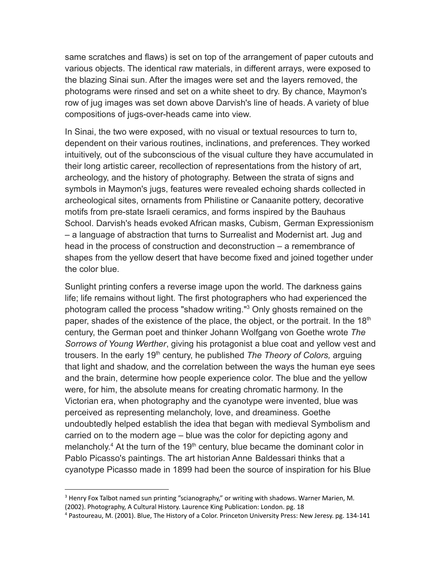same scratches and flaws) is set on top of the arrangement of paper cutouts and various objects. The identical raw materials, in different arrays, were exposed to the blazing Sinai sun. After the images were set and the layers removed, the photograms were rinsed and set on a white sheet to dry. By chance, Maymon's row of jug images was set down above Darvish's line of heads. A variety of blue compositions of jugs-over-heads came into view.

In Sinai, the two were exposed, with no visual or textual resources to turn to, dependent on their various routines, inclinations, and preferences. They worked intuitively, out of the subconscious of the visual culture they have accumulated in their long artistic career, recollection of representations from the history of art, archeology, and the history of photography. Between the strata of signs and symbols in Maymon's jugs, features were revealed echoing shards collected in archeological sites, ornaments from Philistine or Canaanite pottery, decorative motifs from pre-state Israeli ceramics, and forms inspired by the Bauhaus School. Darvish's heads evoked African masks, Cubism, German Expressionism – a language of abstraction that turns to Surrealist and Modernist art. Jug and head in the process of construction and deconstruction – a remembrance of shapes from the yellow desert that have become fixed and joined together under the color blue.

Sunlight printing confers a reverse image upon the world. The darkness gains life; life remains without light. The first photographers who had experienced the photogram called the process "shadow writing."<sup>3</sup> Only ghosts remained on the paper, shades of the existence of the place, the object, or the portrait. In the 18<sup>th</sup> century, the German poet and thinker Johann Wolfgang von Goethe wrote *The Sorrows of Young Werther*, giving his protagonist a blue coat and yellow vest and trousers. In the early 19<sup>th</sup> century, he published *The Theory of Colors*, arguing that light and shadow, and the correlation between the ways the human eye sees and the brain, determine how people experience color. The blue and the yellow were, for him, the absolute means for creating chromatic harmony. In the Victorian era, when photography and the cyanotype were invented, blue was perceived as representing melancholy, love, and dreaminess. Goethe undoubtedly helped establish the idea that began with medieval Symbolism and carried on to the modern age – blue was the color for depicting agony and melancholy.<sup>4</sup> At the turn of the 19<sup>th</sup> century, blue became the dominant color in Pablo Picasso's paintings. The art historian Anne Baldessari thinks that a cyanotype Picasso made in 1899 had been the source of inspiration for his Blue

 $3$  Henry Fox Talbot named sun printing "scianography," or writing with shadows. Warner Marien, M. (2002). Photography, A Cultural History. Laurence King Publication: London. pg. 18

<sup>4</sup> Pastoureau, M. (2001). Blue, The History of a Color. Princeton University Press: New Jeresy. pg. 134-141